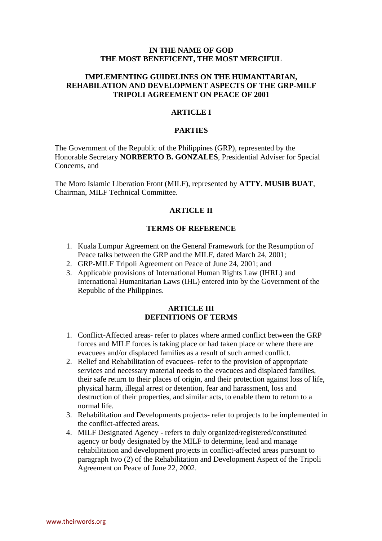#### **IN THE NAME OF GOD THE MOST BENEFICENT, THE MOST MERCIFUL**

### **IMPLEMENTING GUIDELINES ON THE HUMANITARIAN, REHABILATION AND DEVELOPMENT ASPECTS OF THE GRP-MILF TRIPOLI AGREEMENT ON PEACE OF 2001**

#### **ARTICLE I**

### **PARTIES**

The Government of the Republic of the Philippines (GRP), represented by the Honorable Secretary **NORBERTO B. GONZALES**, Presidential Adviser for Special Concerns, and

The Moro Islamic Liberation Front (MILF), represented by **ATTY. MUSIB BUAT**, Chairman, MILF Technical Committee.

#### **ARTICLE II**

#### **TERMS OF REFERENCE**

- 1. Kuala Lumpur Agreement on the General Framework for the Resumption of Peace talks between the GRP and the MILF, dated March 24, 2001;
- 2. GRP-MILF Tripoli Agreement on Peace of June 24, 2001; and
- 3. Applicable provisions of International Human Rights Law (IHRL) and International Humanitarian Laws (IHL) entered into by the Government of the Republic of the Philippines.

#### **ARTICLE III DEFINITIONS OF TERMS**

- 1. Conflict-Affected areas- refer to places where armed conflict between the GRP forces and MILF forces is taking place or had taken place or where there are evacuees and/or displaced families as a result of such armed conflict.
- 2. Relief and Rehabilitation of evacuees- refer to the provision of appropriate services and necessary material needs to the evacuees and displaced families, their safe return to their places of origin, and their protection against loss of life, physical harm, illegal arrest or detention, fear and harassment, loss and destruction of their properties, and similar acts, to enable them to return to a normal life.
- 3. Rehabilitation and Developments projects- refer to projects to be implemented in the conflict-affected areas.
- 4. MILF Designated Agency refers to duly organized/registered/constituted agency or body designated by the MILF to determine, lead and manage rehabilitation and development projects in conflict-affected areas pursuant to paragraph two (2) of the Rehabilitation and Development Aspect of the Tripoli Agreement on Peace of June 22, 2002.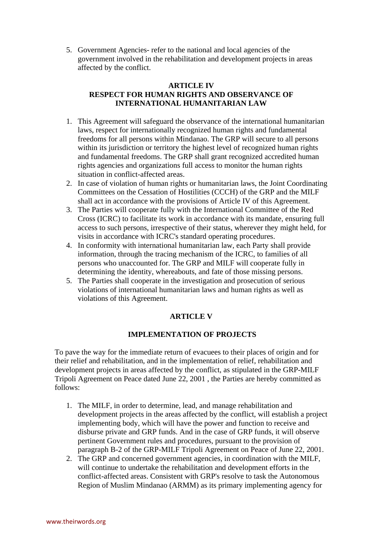5. Government Agencies- refer to the national and local agencies of the government involved in the rehabilitation and development projects in areas affected by the conflict.

## **ARTICLE IV RESPECT FOR HUMAN RIGHTS AND OBSERVANCE OF INTERNATIONAL HUMANITARIAN LAW**

- 1. This Agreement will safeguard the observance of the international humanitarian laws, respect for internationally recognized human rights and fundamental freedoms for all persons within Mindanao. The GRP will secure to all persons within its jurisdiction or territory the highest level of recognized human rights and fundamental freedoms. The GRP shall grant recognized accredited human rights agencies and organizations full access to monitor the human rights situation in conflict-affected areas.
- 2. In case of violation of human rights or humanitarian laws, the Joint Coordinating Committees on the Cessation of Hostilities (CCCH) of the GRP and the MILF shall act in accordance with the provisions of Article IV of this Agreement.
- 3. The Parties will cooperate fully with the International Committee of the Red Cross (ICRC) to facilitate its work in accordance with its mandate, ensuring full access to such persons, irrespective of their status, wherever they might held, for visits in accordance with ICRC's standard operating procedures.
- 4. In conformity with international humanitarian law, each Party shall provide information, through the tracing mechanism of the ICRC, to families of all persons who unaccounted for. The GRP and MILF will cooperate fully in determining the identity, whereabouts, and fate of those missing persons.
- 5. The Parties shall cooperate in the investigation and prosecution of serious violations of international humanitarian laws and human rights as well as violations of this Agreement.

# **ARTICLE V**

# **IMPLEMENTATION OF PROJECTS**

To pave the way for the immediate return of evacuees to their places of origin and for their relief and rehabilitation, and in the implementation of relief, rehabilitation and development projects in areas affected by the conflict, as stipulated in the GRP-MILF Tripoli Agreement on Peace dated June 22, 2001 , the Parties are hereby committed as follows:

- 1. The MILF, in order to determine, lead, and manage rehabilitation and development projects in the areas affected by the conflict, will establish a project implementing body, which will have the power and function to receive and disburse private and GRP funds. And in the case of GRP funds, it will observe pertinent Government rules and procedures, pursuant to the provision of paragraph B-2 of the GRP-MILF Tripoli Agreement on Peace of June 22, 2001.
- 2. The GRP and concerned government agencies, in coordination with the MILF, will continue to undertake the rehabilitation and development efforts in the conflict-affected areas. Consistent with GRP's resolve to task the Autonomous Region of Muslim Mindanao (ARMM) as its primary implementing agency for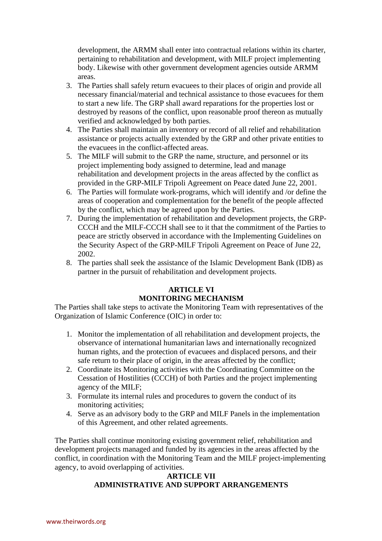development, the ARMM shall enter into contractual relations within its charter, pertaining to rehabilitation and development, with MILF project implementing body. Likewise with other government development agencies outside ARMM areas.

- 3. The Parties shall safely return evacuees to their places of origin and provide all necessary financial/material and technical assistance to those evacuees for them to start a new life. The GRP shall award reparations for the properties lost or destroyed by reasons of the conflict, upon reasonable proof thereon as mutually verified and acknowledged by both parties.
- 4. The Parties shall maintain an inventory or record of all relief and rehabilitation assistance or projects actually extended by the GRP and other private entities to the evacuees in the conflict-affected areas.
- 5. The MILF will submit to the GRP the name, structure, and personnel or its project implementing body assigned to determine, lead and manage rehabilitation and development projects in the areas affected by the conflict as provided in the GRP-MILF Tripoli Agreement on Peace dated June 22, 2001.
- 6. The Parties will formulate work-programs, which will identify and /or define the areas of cooperation and complementation for the benefit of the people affected by the conflict, which may be agreed upon by the Parties.
- 7. During the implementation of rehabilitation and development projects, the GRP-CCCH and the MILF-CCCH shall see to it that the commitment of the Parties to peace are strictly observed in accordance with the Implementing Guidelines on the Security Aspect of the GRP-MILF Tripoli Agreement on Peace of June 22, 2002.
- 8. The parties shall seek the assistance of the Islamic Development Bank (IDB) as partner in the pursuit of rehabilitation and development projects.

# **ARTICLE VI MONITORING MECHANISM**

The Parties shall take steps to activate the Monitoring Team with representatives of the Organization of Islamic Conference (OIC) in order to:

- 1. Monitor the implementation of all rehabilitation and development projects, the observance of international humanitarian laws and internationally recognized human rights, and the protection of evacuees and displaced persons, and their safe return to their place of origin, in the areas affected by the conflict;
- 2. Coordinate its Monitoring activities with the Coordinating Committee on the Cessation of Hostilities (CCCH) of both Parties and the project implementing agency of the MILF;
- 3. Formulate its internal rules and procedures to govern the conduct of its monitoring activities;
- 4. Serve as an advisory body to the GRP and MILF Panels in the implementation of this Agreement, and other related agreements.

The Parties shall continue monitoring existing government relief, rehabilitation and development projects managed and funded by its agencies in the areas affected by the conflict, in coordination with the Monitoring Team and the MILF project-implementing agency, to avoid overlapping of activities.

## **ARTICLE VII ADMINISTRATIVE AND SUPPORT ARRANGEMENTS**